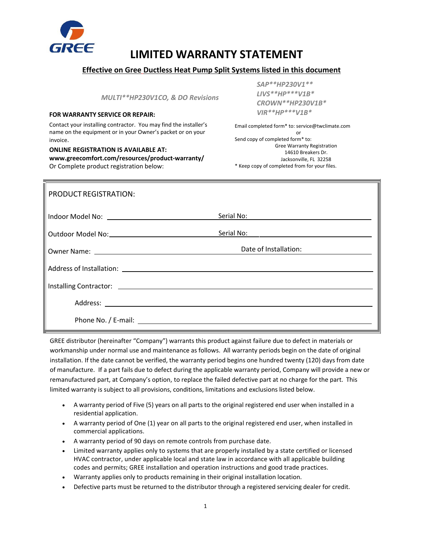

# **LIMITED WARRANTY STATEMENT**

### **Effective on Gree Ductless Heat Pump Split Systems listed in this document**

*MULTI\*\*HP230V1CO, & DO Revisions*

## *VIR\*\*HP\*\*\*V1B\** **FOR WARRANTY SERVICE OR REPAIR:**

Contact your installing contractor. You may find the installer's name on the equipment or in your Owner's packet or on your invoice.

**ONLINE REGISTRATION IS AVAILABLE AT: www.greecomfort.com/resources/product-warranty/** Or Complete product registration below:

*SAP\*\*HP230V1\*\* LIVS\*\*HP\*\*\*V1B\* CROWN\*\*HP230V1B\** 

Email completed form\* to: service@twclimate.com or Send copy of completed form\* to: Gree Warranty Registration 14610 Breakers Dr. Jacksonville, FL 32258 \* Keep copy of completed from for your files.

| <b>PRODUCT REGISTRATION:</b> |                       |
|------------------------------|-----------------------|
|                              | Serial No:            |
|                              | Serial No:            |
|                              | Date of Installation: |
|                              |                       |
|                              |                       |
|                              |                       |
|                              |                       |

GREE distributor (hereinafter "Company") warrants this product against failure due to defect in materials or workmanship under normal use and maintenance as follows. All warranty periods begin on the date of original installation. If the date cannot be verified, the warranty period begins one hundred twenty (120) days from date of manufacture. If a part fails due to defect during the applicable warranty period, Company will provide a new or remanufactured part, at Company's option, to replace the failed defective part at no charge for the part. This limited warranty is subject to all provisions, conditions, limitations and exclusions listed below.

- A warranty period of Five (5) years on all parts to the original registered end user when installed in a residential application.
- A warranty period of One (1) year on all parts to the original registered end user, when installed in commercial applications.
- A warranty period of 90 days on remote controls from purchase date.
- Limited warranty applies only to systems that are properly installed by a state certified or licensed HVAC contractor, under applicable local and state law in accordance with all applicable building codes and permits; GREE installation and operation instructions and good trade practices.
- Warranty applies only to products remaining in their original installation location.
- Defective parts must be returned to the distributor through a registered servicing dealer for credit.